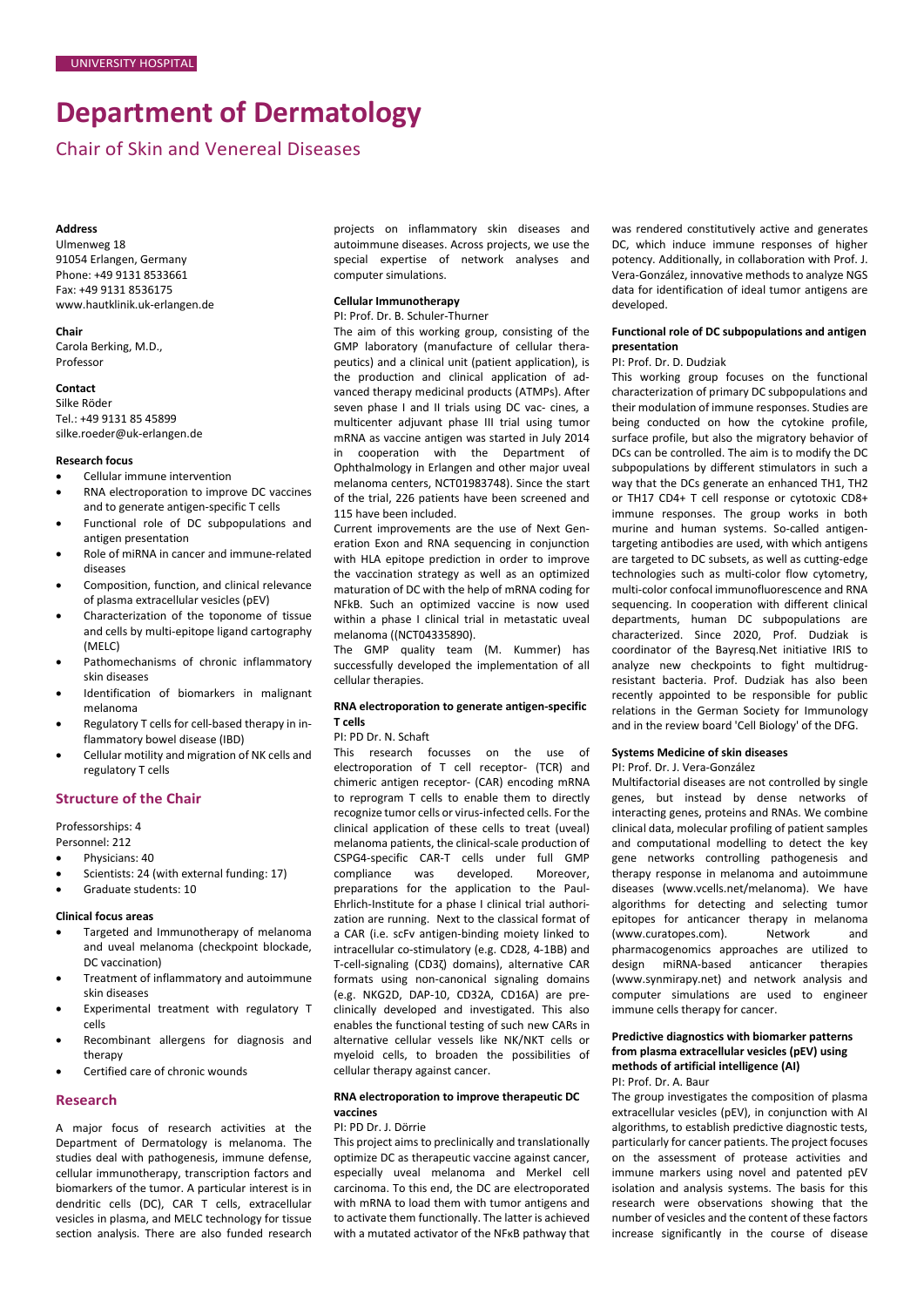# **Department of Dermatology**

Chair of Skin and Venereal Diseases

# **Address**

Ulmenweg 18 91054 Erlangen, Germany Phone: +49 9131 8533661 Fax: +49 9131 8536175 [www.hautklinik.uk-erlangen.de](http://www.hautklinik.uk-erlangen.de/)

# **Chair**

Carola Berking, M.D., Professor

# **Contact**

Silke Röder Tel.: +49 9131 85 45899 silke.roeder@uk-erlangen.de

#### **Research focus**

- Cellular immune intervention
- RNA electroporation to improve DC vaccines and to generate antigen-specific T cells
- Functional role of DC subpopulations and antigen presentation
- Role of miRNA in cancer and immune-related diseases
- Composition, function, and clinical relevance of plasma extracellular vesicles (pEV)
- Characterization of the toponome of tissue and cells by multi-epitope ligand cartography (MELC)
- Pathomechanisms of chronic inflammatory skin diseases
- Identification of biomarkers in malignant melanoma
- Regulatory T cells for cell-based therapy in inflammatory bowel disease (IBD)
- Cellular motility and migration of NK cells and regulatory T cells

# **Structure of the Chair**

Professorships: 4

Personnel: 212

- Physicians: 40
- Scientists: 24 (with external funding: 17)
- Graduate students: 10

## **Clinical focus areas**

- Targeted and Immunotherapy of melanoma and uveal melanoma (checkpoint blockade, DC vaccination)
- Treatment of inflammatory and autoimmune skin diseases
- Experimental treatment with regulatory T cells
- Recombinant allergens for diagnosis and therapy
- Certified care of chronic wounds

## **Research**

A major focus of research activities at the Department of Dermatology is melanoma. The studies deal with pathogenesis, immune defense, cellular immunotherapy, transcription factors and biomarkers of the tumor. A particular interest is in dendritic cells (DC), CAR T cells, extracellular vesicles in plasma, and MELC technology for tissue section analysis. There are also funded research

projects on inflammatory skin diseases and autoimmune diseases. Across projects, we use the special expertise of network analyses and computer simulations.

# **Cellular Immunotherapy**

# PI: Prof. Dr. B. Schuler-Thurner

The aim of this working group, consisting of the GMP laboratory (manufacture of cellular therapeutics) and a clinical unit (patient application), is the production and clinical application of advanced therapy medicinal products (ATMPs). After seven phase I and II trials using DC vac- cines, a multicenter adjuvant phase III trial using tumor mRNA as vaccine antigen was started in July 2014 in cooperation with the Department of Ophthalmology in Erlangen and other major uveal melanoma centers, NCT01983748). Since the start of the trial, 226 patients have been screened and 115 have been included.

Current improvements are the use of Next Generation Exon and RNA sequencing in conjunction with HLA epitope prediction in order to improve the vaccination strategy as well as an optimized maturation of DC with the help of mRNA coding for NFkB. Such an optimized vaccine is now used within a phase I clinical trial in metastatic uveal melanoma ((NCT04335890).

The GMP quality team (M. Kummer) has successfully developed the implementation of all cellular therapies.

## **RNA electroporation to generate antigen-specific T cells**

PI: PD Dr. N. Schaft

This research focusses on the use of electroporation of T cell receptor- (TCR) and chimeric antigen receptor- (CAR) encoding mRNA to reprogram T cells to enable them to directly recognize tumor cells or virus-infected cells. For the clinical application of these cells to treat (uveal) melanoma patients, the clinical-scale production of CSPG4-specific CAR-T cells under full GMP compliance was developed. Moreover, preparations for the application to the Paul-Ehrlich-Institute for a phase I clinical trial authorization are running. Next to the classical format of a CAR (i.e. scFv antigen-binding moiety linked to intracellular co-stimulatory (e.g. CD28, 4-1BB) and T-cell-signaling (CD3ζ) domains), alternative CAR formats using non-canonical signaling domains (e.g. NKG2D, DAP-10, CD32A, CD16A) are preclinically developed and investigated. This also enables the functional testing of such new CARs in alternative cellular vessels like NK/NKT cells or myeloid cells, to broaden the possibilities of cellular therapy against cancer.

# **RNA electroporation to improve therapeutic DC vaccines**

# PI: PD Dr. J. Dörrie

This project aims to preclinically and translationally optimize DC as therapeutic vaccine against cancer, especially uveal melanoma and Merkel cell carcinoma. To this end, the DC are electroporated with mRNA to load them with tumor antigens and to activate them functionally. The latter is achieved with a mutated activator of the NFκB pathway that

was rendered constitutively active and generates DC, which induce immune responses of higher potency. Additionally, in collaboration with Prof. J. Vera-González, innovative methods to analyze NGS data for identification of ideal tumor antigens are developed.

# **Functional role of DC subpopulations and antigen presentation**

# PI: Prof. Dr. D. Dudziak

This working group focuses on the functional characterization of primary DC subpopulations and their modulation of immune responses. Studies are being conducted on how the cytokine profile, surface profile, but also the migratory behavior of DCs can be controlled. The aim is to modify the DC subpopulations by different stimulators in such a way that the DCs generate an enhanced TH1, TH2 or TH17 CD4+ T cell response or cytotoxic CD8+ immune responses. The group works in both murine and human systems. So-called antigentargeting antibodies are used, with which antigens are targeted to DC subsets, as well as cutting-edge technologies such as multi-color flow cytometry, multi-color confocal immunofluorescence and RNA sequencing. In cooperation with different clinical departments, human DC subpopulations are characterized. Since 2020, Prof. Dudziak is coordinator of the Bayresq.Net initiative IRIS to analyze new checkpoints to fight multidrugresistant bacteria. Prof. Dudziak has also been recently appointed to be responsible for public relations in the German Society for Immunology and in the review board 'Cell Biology' of the DFG.

# **Systems Medicine of skin diseases**

PI: Prof. Dr. J. Vera-González

Multifactorial diseases are not controlled by single genes, but instead by dense networks of interacting genes, proteins and RNAs. We combine clinical data, molecular profiling of patient samples and computational modelling to detect the key gene networks controlling pathogenesis and therapy response in melanoma and autoimmune diseases (www.vcells.net/melanoma). We have algorithms for detecting and selecting tumor epitopes for anticancer therapy in melanoma (www.curatopes.com). Network and pharmacogenomics approaches are utilized to design miRNA-based anticancer therapies [\(www.synmirapy.net\)](http://www.synmirapy.net/) and network analysis and computer simulations are used to engineer immune cells therapy for cancer.

## **Predictive diagnostics with biomarker patterns from plasma extracellular vesicles (pEV) using methods of artificial intelligence (AI)** PI: Prof. Dr. A. Baur

The group investigates the composition of plasma extracellular vesicles (pEV), in conjunction with AI algorithms, to establish predictive diagnostic tests, particularly for cancer patients. The project focuses on the assessment of protease activities and immune markers using novel and patented pEV isolation and analysis systems. The basis for this research were observations showing that the number of vesicles and the content of these factors increase significantly in the course of disease